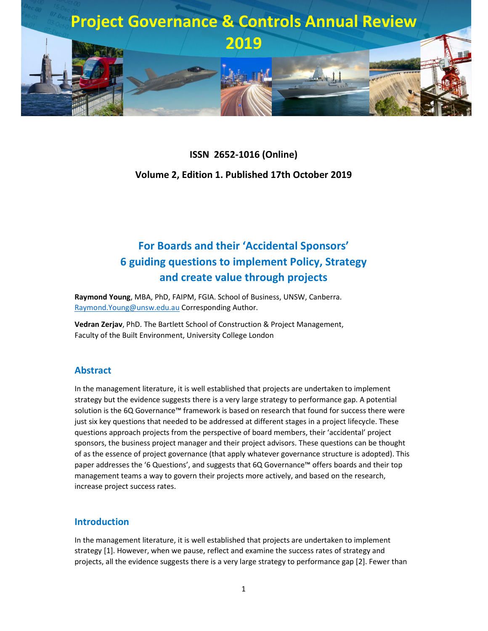

# **ISSN 2652-1016 (Online) Volume 2, Edition 1. Published 17th October 2019**

## **For Boards and their 'Accidental Sponsors' 6 guiding questions to implement Policy, Strategy and create value through projects**

**Raymond Young**, MBA, PhD, FAIPM, FGIA. School of Business, UNSW, Canberra. Raymond.Young@unsw.edu.au Corresponding Author.

**Vedran Zerjav**, PhD. The Bartlett School of Construction & Project Management, Faculty of the Built Environment, University College London

### **Abstract**

In the management literature, it is well established that projects are undertaken to implement strategy but the evidence suggests there is a very large strategy to performance gap. A potential solution is the 6Q Governance™ framework is based on research that found for success there were just six key questions that needed to be addressed at different stages in a project lifecycle. These questions approach projects from the perspective of board members, their 'accidental' project sponsors, the business project manager and their project advisors. These questions can be thought of as the essence of project governance (that apply whatever governance structure is adopted). This paper addresses the '6 Questions', and suggests that 6Q Governance™ offers boards and their top management teams a way to govern their projects more actively, and based on the research, increase project success rates.

#### **Introduction**

In the management literature, it is well established that projects are undertaken to implement strategy [1]. However, when we pause, reflect and examine the success rates of strategy and projects, all the evidence suggests there is a very large strategy to performance gap [2]. Fewer than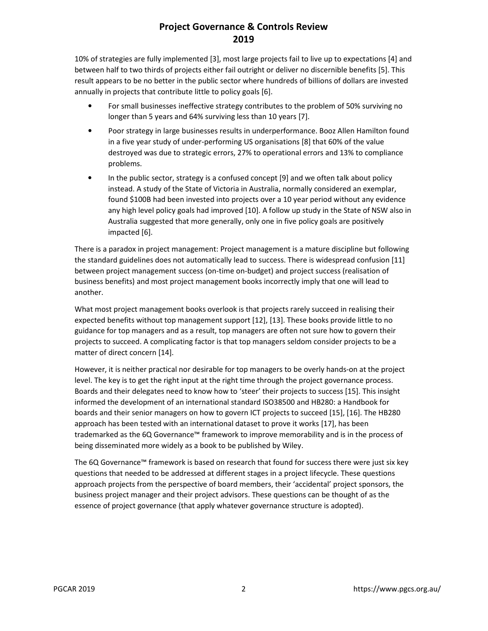10% of strategies are fully implemented [3], most large projects fail to live up to expectations [4] and between half to two thirds of projects either fail outright or deliver no discernible benefits [5]. This result appears to be no better in the public sector where hundreds of billions of dollars are invested annually in projects that contribute little to policy goals [6].

- For small businesses ineffective strategy contributes to the problem of 50% surviving no longer than 5 years and 64% surviving less than 10 years [7].
- Poor strategy in large businesses results in underperformance. Booz Allen Hamilton found in a five year study of under-performing US organisations [8] that 60% of the value destroyed was due to strategic errors, 27% to operational errors and 13% to compliance problems.
- In the public sector, strategy is a confused concept [9] and we often talk about policy instead. A study of the State of Victoria in Australia, normally considered an exemplar, found \$100B had been invested into projects over a 10 year period without any evidence any high level policy goals had improved [10]. A follow up study in the State of NSW also in Australia suggested that more generally, only one in five policy goals are positively impacted [6].

There is a paradox in project management: Project management is a mature discipline but following the standard guidelines does not automatically lead to success. There is widespread confusion [11] between project management success (on-time on-budget) and project success (realisation of business benefits) and most project management books incorrectly imply that one will lead to another.

What most project management books overlook is that projects rarely succeed in realising their expected benefits without top management support [12], [13]. These books provide little to no guidance for top managers and as a result, top managers are often not sure how to govern their projects to succeed. A complicating factor is that top managers seldom consider projects to be a matter of direct concern [14].

However, it is neither practical nor desirable for top managers to be overly hands-on at the project level. The key is to get the right input at the right time through the project governance process. Boards and their delegates need to know how to 'steer' their projects to success [15]. This insight informed the development of an international standard ISO38500 and HB280: a Handbook for boards and their senior managers on how to govern ICT projects to succeed [15], [16]. The HB280 approach has been tested with an international dataset to prove it works [17], has been trademarked as the 6Q Governance™ framework to improve memorability and is in the process of being disseminated more widely as a book to be published by Wiley.

The 6Q Governance™ framework is based on research that found for success there were just six key questions that needed to be addressed at different stages in a project lifecycle. These questions approach projects from the perspective of board members, their 'accidental' project sponsors, the business project manager and their project advisors. These questions can be thought of as the essence of project governance (that apply whatever governance structure is adopted).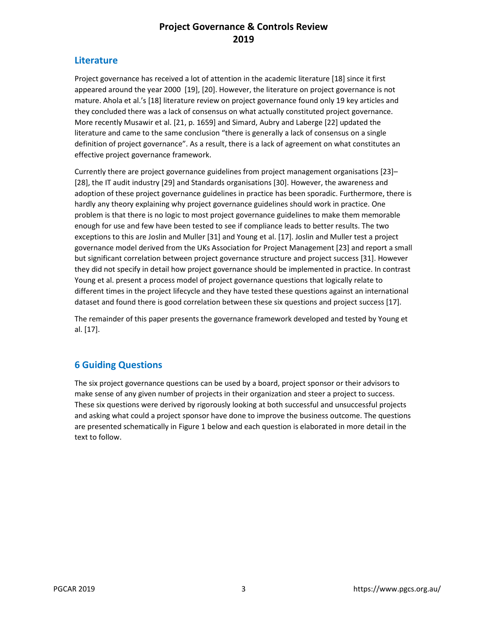#### **Literature**

Project governance has received a lot of attention in the academic literature [18] since it first appeared around the year 2000 [19], [20]. However, the literature on project governance is not mature. Ahola et al.'s [18] literature review on project governance found only 19 key articles and they concluded there was a lack of consensus on what actually constituted project governance. More recently Musawir et al. [21, p. 1659] and Simard, Aubry and Laberge [22] updated the literature and came to the same conclusion "there is generally a lack of consensus on a single definition of project governance". As a result, there is a lack of agreement on what constitutes an effective project governance framework.

Currently there are project governance guidelines from project management organisations [23]– [28], the IT audit industry [29] and Standards organisations [30]. However, the awareness and adoption of these project governance guidelines in practice has been sporadic. Furthermore, there is hardly any theory explaining why project governance guidelines should work in practice. One problem is that there is no logic to most project governance guidelines to make them memorable enough for use and few have been tested to see if compliance leads to better results. The two exceptions to this are Joslin and Muller [31] and Young et al. [17]. Joslin and Muller test a project governance model derived from the UKs Association for Project Management [23] and report a small but significant correlation between project governance structure and project success [31]. However they did not specify in detail how project governance should be implemented in practice. In contrast Young et al. present a process model of project governance questions that logically relate to different times in the project lifecycle and they have tested these questions against an international dataset and found there is good correlation between these six questions and project success [17].

The remainder of this paper presents the governance framework developed and tested by Young et al. [17].

## **6 Guiding Questions**

The six project governance questions can be used by a board, project sponsor or their advisors to make sense of any given number of projects in their organization and steer a project to success. These six questions were derived by rigorously looking at both successful and unsuccessful projects and asking what could a project sponsor have done to improve the business outcome. The questions are presented schematically in Figure 1 below and each question is elaborated in more detail in the text to follow.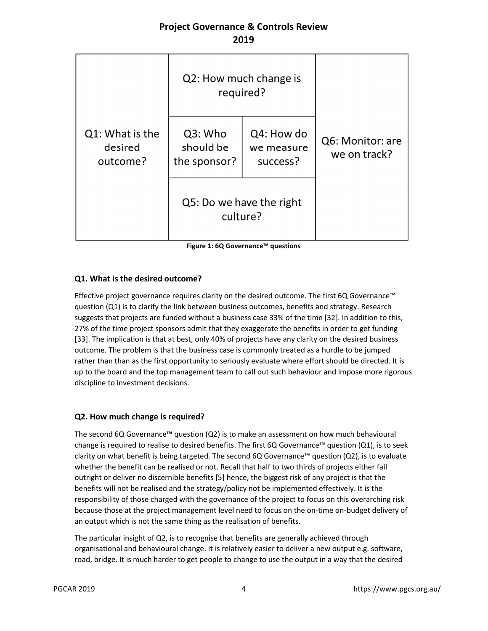|                                        | Q2: How much change is<br>required?  |                                      |                                  |  |
|----------------------------------------|--------------------------------------|--------------------------------------|----------------------------------|--|
| Q1: What is the<br>desired<br>outcome? | Q3: Who<br>should be<br>the sponsor? | Q4: How do<br>we measure<br>success? | Q6: Monitor: are<br>we on track? |  |
|                                        | Q5: Do we have the right<br>culture? |                                      |                                  |  |

**Figure 1: 6Q Governance™ questions** 

#### **Q1. What is the desired outcome?**

Effective project governance requires clarity on the desired outcome. The first 6Q Governance™ question (Q1) is to clarify the link between business outcomes, benefits and strategy. Research suggests that projects are funded without a business case 33% of the time [32]. In addition to this, 27% of the time project sponsors admit that they exaggerate the benefits in order to get funding [33]. The implication is that at best, only 40% of projects have any clarity on the desired business outcome. The problem is that the business case is commonly treated as a hurdle to be jumped rather than than as the first opportunity to seriously evaluate where effort should be directed. It is up to the board and the top management team to call out such behaviour and impose more rigorous discipline to investment decisions.

#### **Q2. How much change is required?**

The second 6Q Governance™ question (Q2) is to make an assessment on how much behavioural change is required to realise to desired benefits. The first 6Q Governance™ question (Q1), is to seek clarity on what benefit is being targeted. The second 6Q Governance™ question (Q2), is to evaluate whether the benefit can be realised or not. Recall that half to two thirds of projects either fail outright or deliver no discernible benefits [5] hence, the biggest risk of any project is that the benefits will not be realised and the strategy/policy not be implemented effectively. It is the responsibility of those charged with the governance of the project to focus on this overarching risk because those at the project management level need to focus on the on-time on-budget delivery of an output which is not the same thing as the realisation of benefits.

The particular insight of Q2, is to recognise that benefits are generally achieved through organisational and behavioural change. It is relatively easier to deliver a new output e.g. software, road, bridge. It is much harder to get people to change to use the output in a way that the desired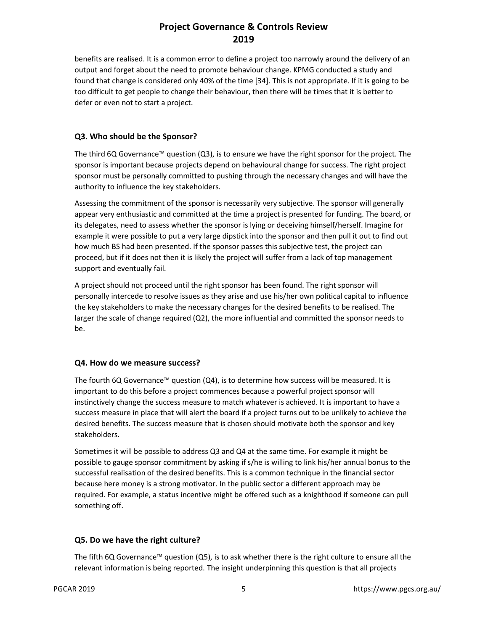benefits are realised. It is a common error to define a project too narrowly around the delivery of an output and forget about the need to promote behaviour change. KPMG conducted a study and found that change is considered only 40% of the time [34]. This is not appropriate. If it is going to be too difficult to get people to change their behaviour, then there will be times that it is better to defer or even not to start a project.

#### **Q3. Who should be the Sponsor?**

The third 6Q Governance™ question (Q3), is to ensure we have the right sponsor for the project. The sponsor is important because projects depend on behavioural change for success. The right project sponsor must be personally committed to pushing through the necessary changes and will have the authority to influence the key stakeholders.

Assessing the commitment of the sponsor is necessarily very subjective. The sponsor will generally appear very enthusiastic and committed at the time a project is presented for funding. The board, or its delegates, need to assess whether the sponsor is lying or deceiving himself/herself. Imagine for example it were possible to put a very large dipstick into the sponsor and then pull it out to find out how much BS had been presented. If the sponsor passes this subjective test, the project can proceed, but if it does not then it is likely the project will suffer from a lack of top management support and eventually fail.

A project should not proceed until the right sponsor has been found. The right sponsor will personally intercede to resolve issues as they arise and use his/her own political capital to influence the key stakeholders to make the necessary changes for the desired benefits to be realised. The larger the scale of change required (Q2), the more influential and committed the sponsor needs to be.

#### **Q4. How do we measure success?**

The fourth 6Q Governance™ question ( $Q4$ ), is to determine how success will be measured. It is important to do this before a project commences because a powerful project sponsor will instinctively change the success measure to match whatever is achieved. It is important to have a success measure in place that will alert the board if a project turns out to be unlikely to achieve the desired benefits. The success measure that is chosen should motivate both the sponsor and key stakeholders.

Sometimes it will be possible to address Q3 and Q4 at the same time. For example it might be possible to gauge sponsor commitment by asking if s/he is willing to link his/her annual bonus to the successful realisation of the desired benefits. This is a common technique in the financial sector because here money is a strong motivator. In the public sector a different approach may be required. For example, a status incentive might be offered such as a knighthood if someone can pull something off.

#### **Q5. Do we have the right culture?**

The fifth 6Q Governance™ question (Q5), is to ask whether there is the right culture to ensure all the relevant information is being reported. The insight underpinning this question is that all projects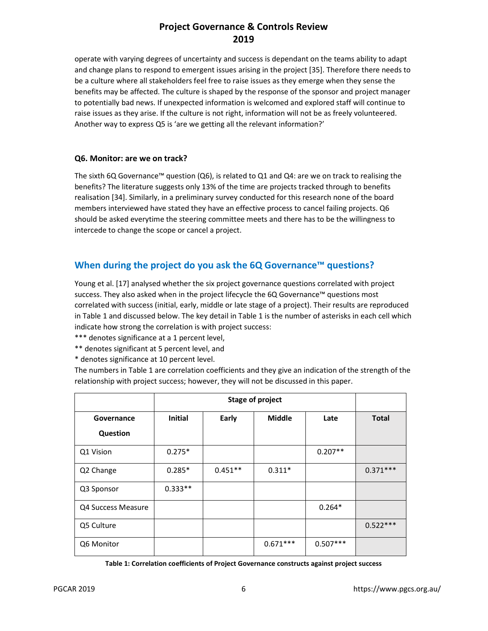operate with varying degrees of uncertainty and success is dependant on the teams ability to adapt and change plans to respond to emergent issues arising in the project [35]. Therefore there needs to be a culture where all stakeholders feel free to raise issues as they emerge when they sense the benefits may be affected. The culture is shaped by the response of the sponsor and project manager to potentially bad news. If unexpected information is welcomed and explored staff will continue to raise issues as they arise. If the culture is not right, information will not be as freely volunteered. Another way to express Q5 is 'are we getting all the relevant information?'

#### **Q6. Monitor: are we on track?**

The sixth 6Q Governance™ question (Q6), is related to Q1 and Q4: are we on track to realising the benefits? The literature suggests only 13% of the time are projects tracked through to benefits realisation [34]. Similarly, in a preliminary survey conducted for this research none of the board members interviewed have stated they have an effective process to cancel failing projects. Q6 should be asked everytime the steering committee meets and there has to be the willingness to intercede to change the scope or cancel a project.

### **When during the project do you ask the 6Q Governance™ questions?**

Young et al. [17] analysed whether the six project governance questions correlated with project success. They also asked when in the project lifecycle the 6Q Governance™ questions most correlated with success (initial, early, middle or late stage of a project). Their results are reproduced in Table 1 and discussed below. The key detail in Table 1 is the number of asterisks in each cell which indicate how strong the correlation is with project success:

- \*\*\* denotes significance at a 1 percent level,
- \*\* denotes significant at 5 percent level, and
- \* denotes significance at 10 percent level.

The numbers in Table 1 are correlation coefficients and they give an indication of the strength of the relationship with project success; however, they will not be discussed in this paper.

|                    | <b>Stage of project</b> |           |               |            |              |
|--------------------|-------------------------|-----------|---------------|------------|--------------|
| Governance         | <b>Initial</b>          | Early     | <b>Middle</b> | Late       | <b>Total</b> |
| Question           |                         |           |               |            |              |
| Q1 Vision          | $0.275*$                |           |               | $0.207**$  |              |
| Q2 Change          | $0.285*$                | $0.451**$ | $0.311*$      |            | $0.371***$   |
| Q3 Sponsor         | $0.333**$               |           |               |            |              |
| Q4 Success Measure |                         |           |               | $0.264*$   |              |
| Q5 Culture         |                         |           |               |            | $0.522***$   |
| Q6 Monitor         |                         |           | $0.671***$    | $0.507***$ |              |

**Table 1: Correlation coefficients of Project Governance constructs against project success**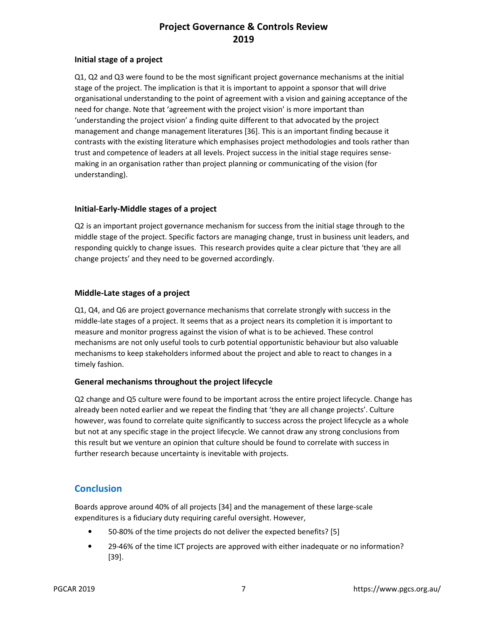#### **Initial stage of a project**

Q1, Q2 and Q3 were found to be the most significant project governance mechanisms at the initial stage of the project. The implication is that it is important to appoint a sponsor that will drive organisational understanding to the point of agreement with a vision and gaining acceptance of the need for change. Note that 'agreement with the project vision' is more important than 'understanding the project vision' a finding quite different to that advocated by the project management and change management literatures [36]. This is an important finding because it contrasts with the existing literature which emphasises project methodologies and tools rather than trust and competence of leaders at all levels. Project success in the initial stage requires sensemaking in an organisation rather than project planning or communicating of the vision (for understanding).

#### **Initial-Early-Middle stages of a project**

Q2 is an important project governance mechanism for success from the initial stage through to the middle stage of the project. Specific factors are managing change, trust in business unit leaders, and responding quickly to change issues. This research provides quite a clear picture that 'they are all change projects' and they need to be governed accordingly.

#### **Middle-Late stages of a project**

Q1, Q4, and Q6 are project governance mechanisms that correlate strongly with success in the middle-late stages of a project. It seems that as a project nears its completion it is important to measure and monitor progress against the vision of what is to be achieved. These control mechanisms are not only useful tools to curb potential opportunistic behaviour but also valuable mechanisms to keep stakeholders informed about the project and able to react to changes in a timely fashion.

#### **General mechanisms throughout the project lifecycle**

Q2 change and Q5 culture were found to be important across the entire project lifecycle. Change has already been noted earlier and we repeat the finding that 'they are all change projects'. Culture however, was found to correlate quite significantly to success across the project lifecycle as a whole but not at any specific stage in the project lifecycle. We cannot draw any strong conclusions from this result but we venture an opinion that culture should be found to correlate with success in further research because uncertainty is inevitable with projects.

#### **Conclusion**

Boards approve around 40% of all projects [34] and the management of these large-scale expenditures is a fiduciary duty requiring careful oversight. However,

- 50-80% of the time projects do not deliver the expected benefits? [5]
- 29-46% of the time ICT projects are approved with either inadequate or no information? [39].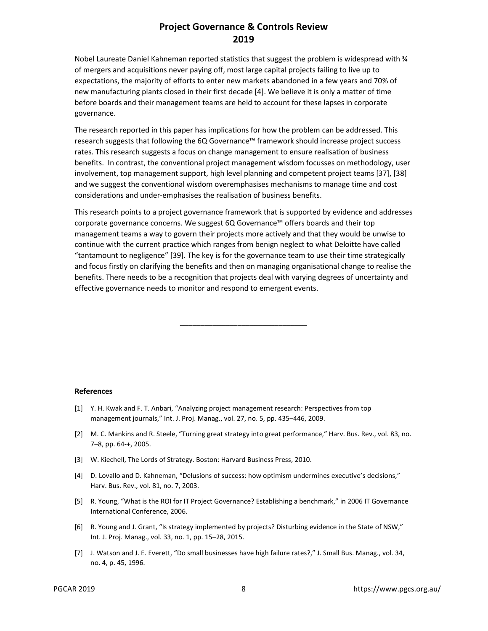Nobel Laureate Daniel Kahneman reported statistics that suggest the problem is widespread with ¼ of mergers and acquisitions never paying off, most large capital projects failing to live up to expectations, the majority of efforts to enter new markets abandoned in a few years and 70% of new manufacturing plants closed in their first decade [4]. We believe it is only a matter of time before boards and their management teams are held to account for these lapses in corporate governance.

The research reported in this paper has implications for how the problem can be addressed. This research suggests that following the 6Q Governance™ framework should increase project success rates. This research suggests a focus on change management to ensure realisation of business benefits. In contrast, the conventional project management wisdom focusses on methodology, user involvement, top management support, high level planning and competent project teams [37], [38] and we suggest the conventional wisdom overemphasises mechanisms to manage time and cost considerations and under-emphasises the realisation of business benefits.

This research points to a project governance framework that is supported by evidence and addresses corporate governance concerns. We suggest 6Q Governance™ offers boards and their top management teams a way to govern their projects more actively and that they would be unwise to continue with the current practice which ranges from benign neglect to what Deloitte have called "tantamount to negligence" [39]. The key is for the governance team to use their time strategically and focus firstly on clarifying the benefits and then on managing organisational change to realise the benefits. There needs to be a recognition that projects deal with varying degrees of uncertainty and effective governance needs to monitor and respond to emergent events.

\_\_\_\_\_\_\_\_\_\_\_\_\_\_\_\_\_\_\_\_\_\_\_\_\_\_\_\_\_\_\_

#### **References**

- [1] Y. H. Kwak and F. T. Anbari, "Analyzing project management research: Perspectives from top management journals," Int. J. Proj. Manag., vol. 27, no. 5, pp. 435–446, 2009.
- [2] M. C. Mankins and R. Steele, "Turning great strategy into great performance," Harv. Bus. Rev., vol. 83, no. 7–8, pp. 64-+, 2005.
- [3] W. Kiechell, The Lords of Strategy. Boston: Harvard Business Press, 2010.
- [4] D. Lovallo and D. Kahneman, "Delusions of success: how optimism undermines executive's decisions," Harv. Bus. Rev., vol. 81, no. 7, 2003.
- [5] R. Young, "What is the ROI for IT Project Governance? Establishing a benchmark," in 2006 IT Governance International Conference, 2006.
- [6] R. Young and J. Grant, "Is strategy implemented by projects? Disturbing evidence in the State of NSW," Int. J. Proj. Manag., vol. 33, no. 1, pp. 15–28, 2015.
- [7] J. Watson and J. E. Everett, "Do small businesses have high failure rates?," J. Small Bus. Manag., vol. 34, no. 4, p. 45, 1996.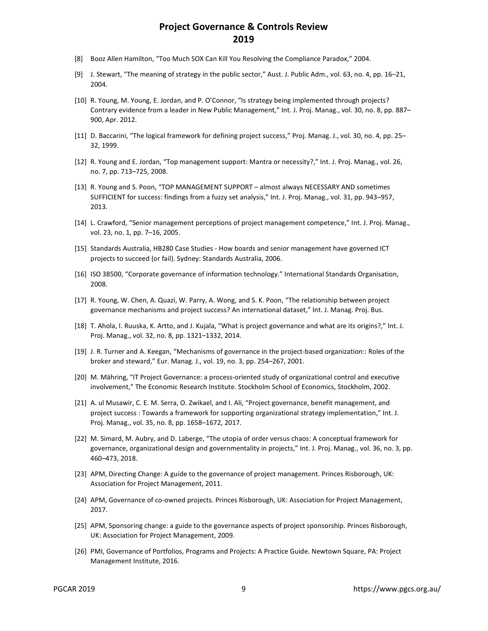- [8] Booz Allen Hamilton, "Too Much SOX Can Kill You Resolving the Compliance Paradox," 2004.
- [9] J. Stewart, "The meaning of strategy in the public sector," Aust. J. Public Adm., vol. 63, no. 4, pp. 16–21, 2004.
- [10] R. Young, M. Young, E. Jordan, and P. O'Connor, "Is strategy being implemented through projects? Contrary evidence from a leader in New Public Management," Int. J. Proj. Manag., vol. 30, no. 8, pp. 887– 900, Apr. 2012.
- [11] D. Baccarini, "The logical framework for defining project success," Proj. Manag. J., vol. 30, no. 4, pp. 25– 32, 1999.
- [12] R. Young and E. Jordan, "Top management support: Mantra or necessity?," Int. J. Proj. Manag., vol. 26, no. 7, pp. 713–725, 2008.
- [13] R. Young and S. Poon, "TOP MANAGEMENT SUPPORT almost always NECESSARY AND sometimes SUFFICIENT for success: findings from a fuzzy set analysis," Int. J. Proj. Manag., vol. 31, pp. 943–957, 2013.
- [14] L. Crawford, "Senior management perceptions of project management competence," Int. J. Proj. Manag., vol. 23, no. 1, pp. 7–16, 2005.
- [15] Standards Australia, HB280 Case Studies How boards and senior management have governed ICT projects to succeed (or fail). Sydney: Standards Australia, 2006.
- [16] ISO 38500, "Corporate governance of information technology." International Standards Organisation, 2008.
- [17] R. Young, W. Chen, A. Quazi, W. Parry, A. Wong, and S. K. Poon, "The relationship between project governance mechanisms and project success? An international dataset," Int. J. Manag. Proj. Bus.
- [18] T. Ahola, I. Ruuska, K. Artto, and J. Kujala, "What is project governance and what are its origins?," Int. J. Proj. Manag., vol. 32, no. 8, pp. 1321–1332, 2014.
- [19] J. R. Turner and A. Keegan, "Mechanisms of governance in the project-based organization:: Roles of the broker and steward," Eur. Manag. J., vol. 19, no. 3, pp. 254–267, 2001.
- [20] M. Mähring, "IT Project Governance: a process-oriented study of organizational control and executive involvement," The Economic Research Institute. Stockholm School of Economics, Stockholm, 2002.
- [21] A. ul Musawir, C. E. M. Serra, O. Zwikael, and I. Ali, "Project governance, benefit management, and project success : Towards a framework for supporting organizational strategy implementation," Int. J. Proj. Manag., vol. 35, no. 8, pp. 1658–1672, 2017.
- [22] M. Simard, M. Aubry, and D. Laberge, "The utopia of order versus chaos: A conceptual framework for governance, organizational design and governmentality in projects," Int. J. Proj. Manag., vol. 36, no. 3, pp. 460–473, 2018.
- [23] APM, Directing Change: A guide to the governance of project management. Princes Risborough, UK: Association for Project Management, 2011.
- [24] APM, Governance of co-owned projects. Princes Risborough, UK: Association for Project Management, 2017.
- [25] APM, Sponsoring change: a guide to the governance aspects of project sponsorship. Princes Risborough, UK: Association for Project Management, 2009.
- [26] PMI, Governance of Portfolios, Programs and Projects: A Practice Guide. Newtown Square, PA: Project Management Institute, 2016.